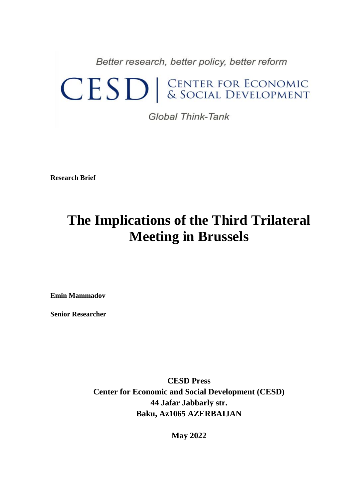Better research, better policy, better reform

## CESD | CENTER FOR ECONOMIC

Global Think-Tank

**Research Brief**

## **The Implications of the Third Trilateral Meeting in Brussels**

**Emin Mammadov**

**Senior Researcher**

**CESD Press Center for Economic and Social Development (CESD) 44 Jafar Jabbarly str. Baku, Az1065 AZERBAIJAN**

**May 2022**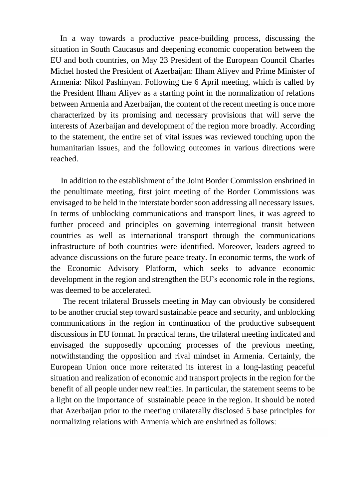In a way towards a productive peace-building process, discussing the situation in South Caucasus and deepening economic cooperation between the EU and both countries, on May 23 President of the European Council Charles Michel hosted the President of Azerbaijan: Ilham Aliyev and Prime Minister of Armenia: Nikol Pashinyan. Following the 6 April meeting, which is called by the President Ilham Aliyev as a starting point in the normalization of relations between Armenia and Azerbaijan, the content of the recent meeting is once more characterized by its promising and necessary provisions that will serve the interests of Azerbaijan and development of the region more broadly. According to the statement, the entire set of vital issues was reviewed touching upon the humanitarian issues, and the following outcomes in various directions were reached.

 In addition to the establishment of the Joint Border Commission enshrined in the penultimate meeting, first joint meeting of the Border Commissions was envisaged to be held in the interstate border soon addressing all necessary issues. In terms of unblocking communications and transport lines, it was agreed to further proceed and principles on governing interregional transit between countries as well as international transport through the communications infrastructure of both countries were identified. Moreover, leaders agreed to advance discussions on the future peace treaty. In economic terms, the work of the Economic Advisory Platform, which seeks to advance economic development in the region and strengthen the EU's economic role in the regions, was deemed to be accelerated.

 The recent trilateral Brussels meeting in May can obviously be considered to be another crucial step toward sustainable peace and security, and unblocking communications in the region in continuation of the productive subsequent discussions in EU format. In practical terms, the trilateral meeting indicated and envisaged the supposedly upcoming processes of the previous meeting, notwithstanding the opposition and rival mindset in Armenia. Certainly, the European Union once more reiterated its interest in a long-lasting peaceful situation and realization of economic and transport projects in the region for the benefit of all people under new realities. In particular, the statement seems to be a light on the importance of sustainable peace in the region. It should be noted that Azerbaijan prior to the meeting unilaterally disclosed 5 base principles for normalizing relations with Armenia which are enshrined as follows: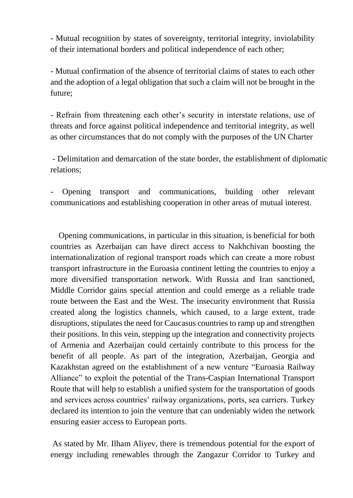- Mutual recognition by states of sovereignty, territorial integrity, inviolability of their international borders and political independence of each other;

- Mutual confirmation of the absence of territorial claims of states to each other and the adoption of a legal obligation that such a claim will not be brought in the future;

- Refrain from threatening each other's security in interstate relations, use of threats and force against political independence and territorial integrity, as well as other circumstances that do not comply with the purposes of the UN Charter

- Delimitation and demarcation of the state border, the establishment of diplomatic relations;

- Opening transport and communications, building other relevant communications and establishing cooperation in other areas of mutual interest.

 Opening communications, in particular in this situation, is beneficial for both countries as Azerbaijan can have direct access to Nakhchivan boosting the internationalization of regional transport roads which can create a more robust transport infrastructure in the Euroasia continent letting the countries to enjoy a more diversified transportation network. With Russia and Iran sanctioned, Middle Corridor gains special attention and could emerge as a reliable trade route between the East and the West. The insecurity environment that Russia created along the logistics channels, which caused, to a large extent, trade disruptions, stipulates the need for Caucasus countries to ramp up and strengthen their positions. In this vein, stepping up the integration and connectivity projects of Armenia and Azerbaijan could certainly contribute to this process for the benefit of all people. As part of the integration, Azerbaijan, Georgia and Kazakhstan agreed on the establishment of a new venture "Euroasia Railway Alliance" to exploit the potential of the Trans-Caspian International Transport Route that will help to establish a unified system for the transportation of goods and services across countries' railway organizations, ports, sea carriers. Turkey declared its intention to join the venture that can undeniably widen the network ensuring easier access to European ports.

As stated by Mr. Ilham Aliyev, there is tremendous potential for the export of energy including renewables through the Zangazur Corridor to Turkey and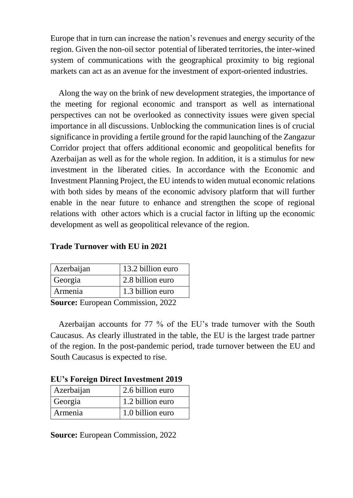Europe that in turn can increase the nation's revenues and energy security of the region. Given the non-oil sector potential of liberated territories, the inter-wined system of communications with the geographical proximity to big regional markets can act as an avenue for the investment of export-oriented industries.

 Along the way on the brink of new development strategies, the importance of the meeting for regional economic and transport as well as international perspectives can not be overlooked as connectivity issues were given special importance in all discussions. Unblocking the communication lines is of crucial significance in providing a fertile ground for the rapid launching of the Zangazur Corridor project that offers additional economic and geopolitical benefits for Azerbaijan as well as for the whole region. In addition, it is a stimulus for new investment in the liberated cities. In accordance with the Economic and Investment Planning Project, the EU intends to widen mutual economic relations with both sides by means of the economic advisory platform that will further enable in the near future to enhance and strengthen the scope of regional relations with other actors which is a crucial factor in lifting up the economic development as well as geopolitical relevance of the region.

## **Trade Turnover with EU in 2021**

| Azerbaijan | 13.2 billion euro |
|------------|-------------------|
| Georgia    | 2.8 billion euro  |
| Armenia    | 1.3 billion euro  |
|            |                   |

**Source:** European Commission, 2022

 Azerbaijan accounts for 77 % of the EU's trade turnover with the South Caucasus. As clearly illustrated in the table, the EU is the largest trade partner of the region. In the post-pandemic period, trade turnover between the EU and South Caucasus is expected to rise.

| Le si ortiga Da ett investment 2012 |                  |
|-------------------------------------|------------------|
| Azerbaijan                          | 2.6 billion euro |
| Georgia                             | 1.2 billion euro |
| Armenia                             | 1.0 billion euro |

**EU's Foreign Direct Investment 2019**

**Source:** European Commission, 2022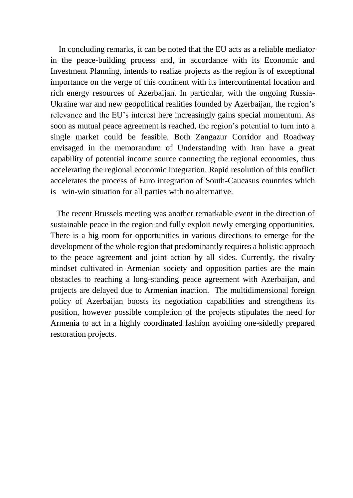In concluding remarks, it can be noted that the EU acts as a reliable mediator in the peace-building process and, in accordance with its Economic and Investment Planning, intends to realize projects as the region is of exceptional importance on the verge of this continent with its intercontinental location and rich energy resources of Azerbaijan. In particular, with the ongoing Russia-Ukraine war and new geopolitical realities founded by Azerbaijan, the region's relevance and the EU's interest here increasingly gains special momentum. As soon as mutual peace agreement is reached, the region's potential to turn into a single market could be feasible. Both Zangazur Corridor and Roadway envisaged in the memorandum of Understanding with Iran have a great capability of potential income source connecting the regional economies, thus accelerating the regional economic integration. Rapid resolution of this conflict accelerates the process of Euro integration of South-Caucasus countries which is win-win situation for all parties with no alternative.

 The recent Brussels meeting was another remarkable event in the direction of sustainable peace in the region and fully exploit newly emerging opportunities. There is a big room for opportunities in various directions to emerge for the development of the whole region that predominantly requires a holistic approach to the peace agreement and joint action by all sides. Currently, the rivalry mindset cultivated in Armenian society and opposition parties are the main obstacles to reaching a long-standing peace agreement with Azerbaijan, and projects are delayed due to Armenian inaction. The multidimensional foreign policy of Azerbaijan boosts its negotiation capabilities and strengthens its position, however possible completion of the projects stipulates the need for Armenia to act in a highly coordinated fashion avoiding one-sidedly prepared restoration projects.